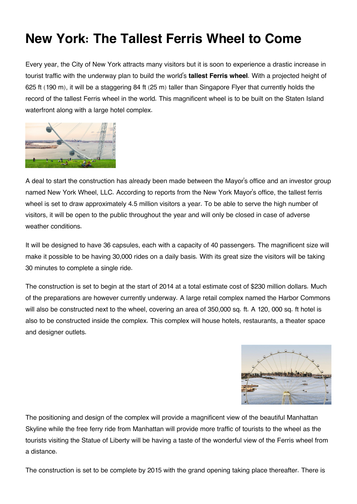## **New York: The Tallest Ferris Wheel to Come**

Every year, the City of New York attracts many visitors but it is soon to experience a drastic increase in tourist traffic with the underway plan to build the world's **tallest Ferris wheel**. With a projected height of 625 ft (190 m), it will be a staggering 84 ft (25 m) taller than Singapore Flyer that currently holds the record of the tallest Ferris wheel in the world. This magnificent wheel is to be built on the Staten Island waterfront along with a large hotel complex.



A deal to start the construction has already been made between the Mayor's office and an investor group named New York Wheel, LLC. According to reports from the New York Mayor's office, the tallest ferris wheel is set to draw approximately 4.5 million visitors a year. To be able to serve the high number of visitors, it will be open to the public throughout the year and will only be closed in case of adverse weather conditions.

It will be designed to have 36 capsules, each with a capacity of 40 passengers. The magnificent size will make it possible to be having 30,000 rides on a daily basis. With its great size the visitors will be taking 30 minutes to complete a single ride.

The construction is set to begin at the start of 2014 at a total estimate cost of \$230 million dollars. Much of the preparations are however currently underway. A large retail complex named the Harbor Commons will also be constructed next to the wheel, covering an area of 350,000 sq. ft. A 120, 000 sq. ft hotel is also to be constructed inside the complex. This complex will house hotels, restaurants, a theater space and designer outlets.



The positioning and design of the complex will provide a magnificent view of the beautiful Manhattan Skyline while the free ferry ride from Manhattan will provide more traffic of tourists to the wheel as the tourists visiting the Statue of Liberty will be having a taste of the wonderful view of the Ferris wheel from a distance.

The construction is set to be complete by 2015 with the grand opening taking place thereafter. There is